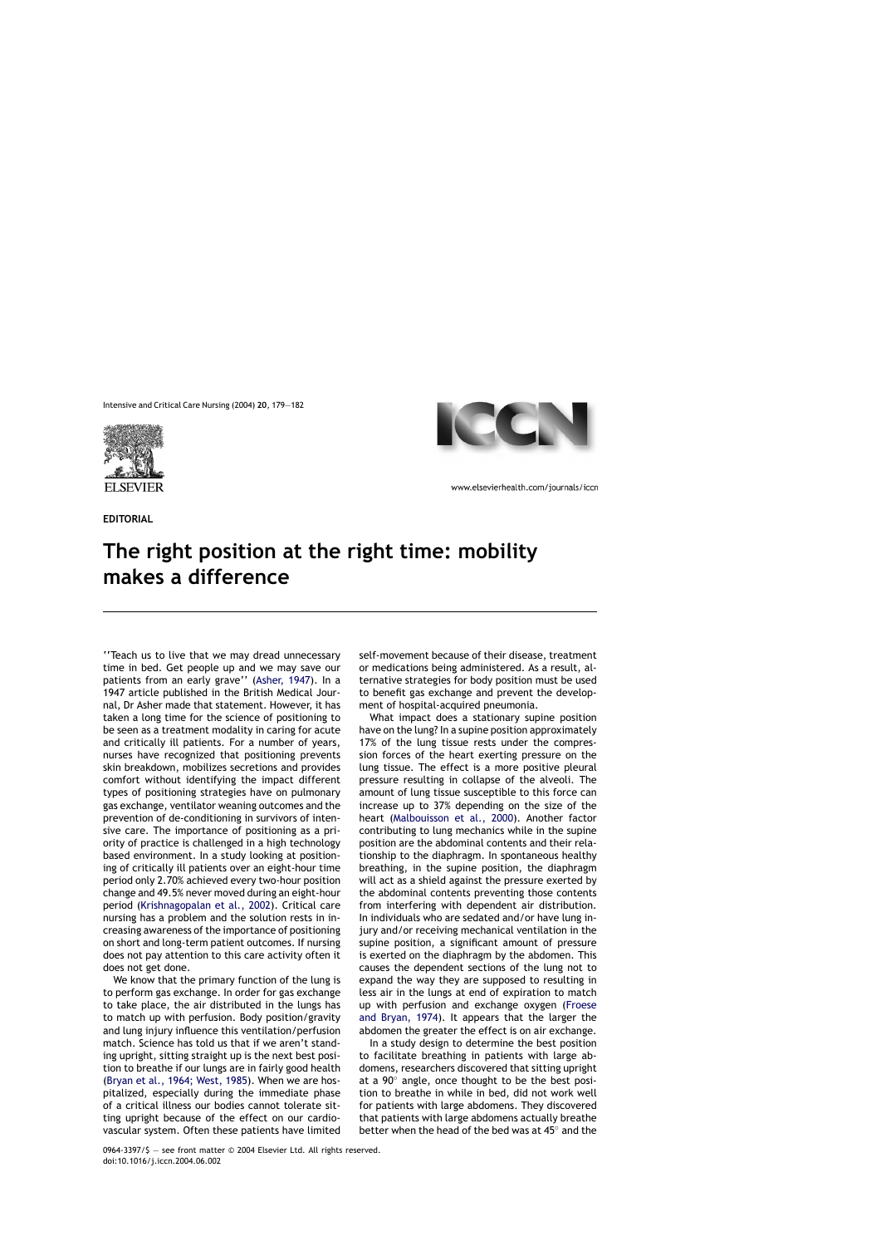

**EDITORIAL**



www.elsevierhealth.com/journals/iccn

## **The right position at the right time: mobility makes a difference**

''Teach us to live that we may dread unnecessary time in bed. Get people up and we may save our patients from an early grave'' ([Asher, 1947\).](#page-2-0) In a 1947 article published in the British Medical Journal, Dr Asher made that statement. However, it has taken a long time for the science of positioning to be seen as a treatment modality in caring for acute and critically ill patients. For a number of years, nurses have recognized that positioning prevents skin breakdown, mobilizes secretions and provides comfort without identifying the impact different types of positioning strategies have on pulmonary gas exchange, ventilator weaning outcomes and the prevention of de-conditioning in survivors of intensive care. The importance of positioning as a priority of practice is challenged in a high technology based environment. In a study looking at positioning of critically ill patients over an eight-hour time period only 2.70% achieved every two-hour position change and 49.5% never moved during an eight-hour period ([Krishnagopalan et al., 2002\)](#page-3-0). Critical care nursing has a problem and the solution rests in increasing awareness of the importance of positioning on short and long-term patient outcomes. If nursing does not pay attention to this care activity often it does not get done.

We know that the primary function of the lung is to perform gas exchange. In order for gas exchange to take place, the air distributed in the lungs has to match up with perfusion. Body position/gravity and lung injury influence this ventilation/perfusion match. Science has told us that if we aren't standing upright, sitting straight up is the next best position to breathe if our lungs are in fairly good health [\(Bryan et al., 1964; West, 1985\).](#page-2-0) When we are hospitalized, especially during the immediate phase of a critical illness our bodies cannot tolerate sitting upright because of the effect on our cardiovascular system. Often these patients have limited self-movement because of their disease, treatment or medications being administered. As a result, alternative strategies for body position must be used to benefit gas exchange and prevent the development of hospital-acquired pneumonia.

What impact does a stationary supine position have on the lung? In a supine position approximately 17% of the lung tissue rests under the compression forces of the heart exerting pressure on the lung tissue. The effect is a more positive pleural pressure resulting in collapse of the alveoli. The amount of lung tissue susceptible to this force can increase up to 37% depending on the size of the heart [\(Malbouisson et al., 2000](#page-3-0)). Another factor contributing to lung mechanics while in the supine position are the abdominal contents and their relationship to the diaphragm. In spontaneous healthy breathing, in the supine position, the diaphragm will act as a shield against the pressure exerted by the abdominal contents preventing those contents from interfering with dependent air distribution. In individuals who are sedated and/or have lung injury and/or receiving mechanical ventilation in the supine position, a significant amount of pressure is exerted on the diaphragm by the abdomen. This causes the dependent sections of the lung not to expand the way they are supposed to resulting in less air in the lungs at end of expiration to match up with perfusion and exchange oxygen [\(Froese](#page-2-0) [and Bryan, 1974\)](#page-2-0). It appears that the larger the abdomen the greater the effect is on air exchange.

In a study design to determine the best position to facilitate breathing in patients with large abdomens, researchers discovered that sitting upright at a 90◦ angle, once thought to be the best position to breathe in while in bed, did not work well for patients with large abdomens. They discovered that patients with large abdomens actually breathe better when the head of the bed was at 45◦ and the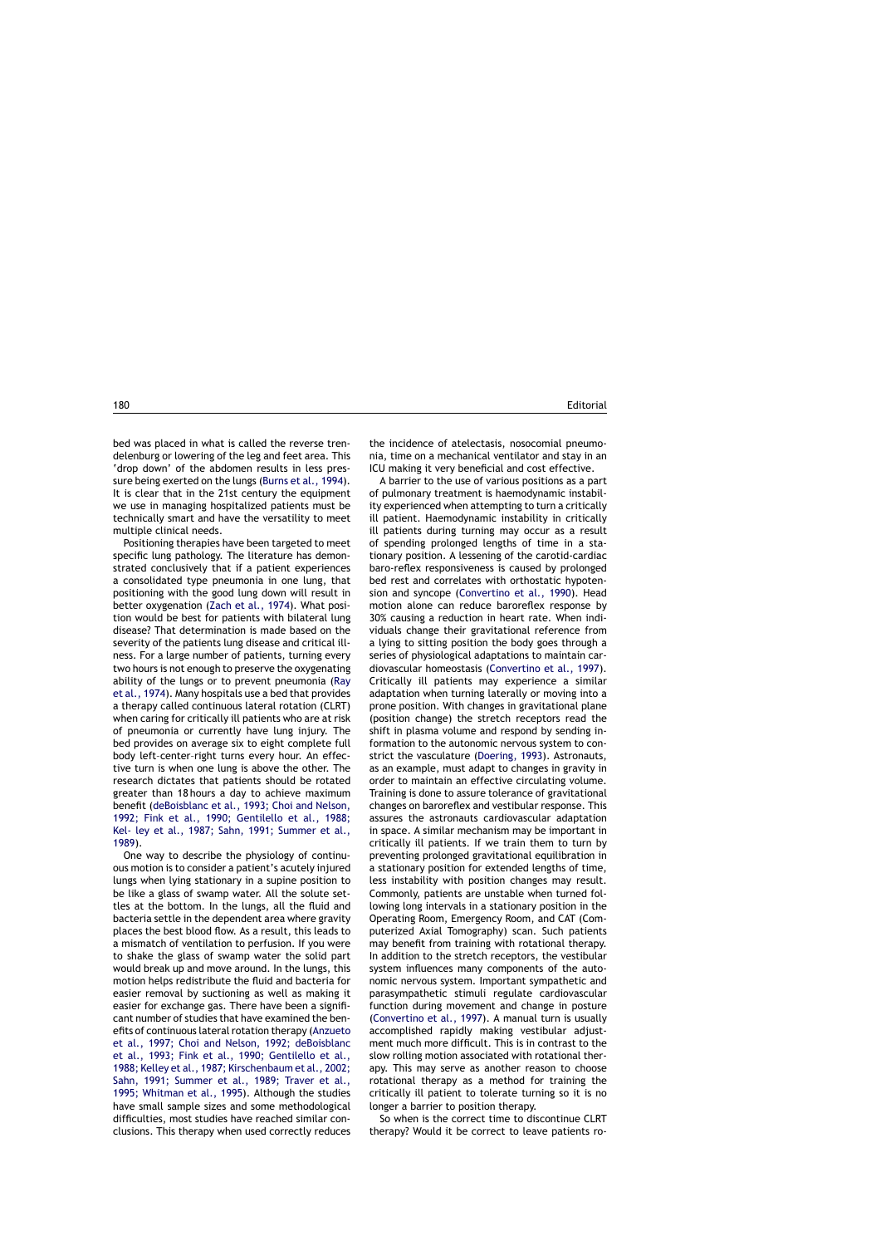bed was placed in what is called the reverse trendelenburg or lowering of the leg and feet area. This 'drop down' of the abdomen results in less pressure being exerted on the lungs [\(Burns et al., 1994\).](#page-2-0) It is clear that in the 21st century the equipment we use in managing hospitalized patients must be technically smart and have the versatility to meet multiple clinical needs.

Positioning therapies have been targeted to meet specific lung pathology. The literature has demonstrated conclusively that if a patient experiences a consolidated type pneumonia in one lung, that positioning with the good lung down will result in better oxygenation [\(Zach et al., 1974\).](#page-3-0) What position would be best for patients with bilateral lung disease? That determination is made based on the severity of the patients lung disease and critical illness. For a large number of patients, turning every two hours is not enough to preserve the oxygenating ability of the lungs or to prevent pneumonia [\(Ray](#page-3-0) [et al., 1974\).](#page-3-0) Many hospitals use a bed that provides a therapy called continuous lateral rotation (CLRT) when caring for critically ill patients who are at risk of pneumonia or currently have lung injury. The bed provides on average six to eight complete full body left–center–right turns every hour. An effective turn is when one lung is above the other. The research dictates that patients should be rotated greater than 18 hours a day to achieve maximum benefit [\(deBoisblanc et al., 1993; Choi and Nelson,](#page-2-0) [1992; Fink et al., 1990; Gentilello et al., 1988;](#page-2-0) [Kel- ley et al., 1987; Sahn, 1991; Summer et al.,](#page-2-0) [1989\).](#page-2-0)

One way to describe the physiology of continuous motion is to consider a patient's acutely injured lungs when lying stationary in a supine position to be like a glass of swamp water. All the solute settles at the bottom. In the lungs, all the fluid and bacteria settle in the dependent area where gravity places the best blood flow. As a result, this leads to a mismatch of ventilation to perfusion. If you were to shake the glass of swamp water the solid part would break up and move around. In the lungs, this motion helps redistribute the fluid and bacteria for easier removal by suctioning as well as making it easier for exchange gas. There have been a significant number of studies that have examined the benefits of continuous lateral rotation therapy [\(Anzueto](#page-2-0) [et al., 1997; Choi and Nelson, 1992; deBoisblanc](#page-2-0) [et al., 1993; Fink et al., 1990; Gentilello et al.,](#page-2-0) [1988; Kelley et al., 1987; Kirschenbaum et al., 2002;](#page-2-0) [Sahn, 1991; Summer et al., 1989; Traver et al.,](#page-2-0) [1995; Whitman et al., 1995\)](#page-2-0). Although the studies have small sample sizes and some methodological difficulties, most studies have reached similar conclusions. This therapy when used correctly reduces the incidence of atelectasis, nosocomial pneumonia, time on a mechanical ventilator and stay in an ICU making it very beneficial and cost effective.

A barrier to the use of various positions as a part of pulmonary treatment is haemodynamic instability experienced when attempting to turn a critically ill patient. Haemodynamic instability in critically ill patients during turning may occur as a result of spending prolonged lengths of time in a stationary position. A lessening of the carotid-cardiac baro-reflex responsiveness is caused by prolonged bed rest and correlates with orthostatic hypotension and syncope [\(Convertino et al., 1990\)](#page-2-0). Head motion alone can reduce baroreflex response by 30% causing a reduction in heart rate. When individuals change their gravitational reference from a lying to sitting position the body goes through a series of physiological adaptations to maintain cardiovascular homeostasis [\(Convertino et al., 1997\)](#page-2-0). Critically ill patients may experience a similar adaptation when turning laterally or moving into a prone position. With changes in gravitational plane (position change) the stretch receptors read the shift in plasma volume and respond by sending information to the autonomic nervous system to constrict the vasculature ([Doering, 1993\).](#page-2-0) Astronauts, as an example, must adapt to changes in gravity in order to maintain an effective circulating volume. Training is done to assure tolerance of gravitational changes on baroreflex and vestibular response. This assures the astronauts cardiovascular adaptation in space. A similar mechanism may be important in critically ill patients. If we train them to turn by preventing prolonged gravitational equilibration in a stationary position for extended lengths of time, less instability with position changes may result. Commonly, patients are unstable when turned following long intervals in a stationary position in the Operating Room, Emergency Room, and CAT (Computerized Axial Tomography) scan. Such patients may benefit from training with rotational therapy. In addition to the stretch receptors, the vestibular system influences many components of the autonomic nervous system. Important sympathetic and parasympathetic stimuli regulate cardiovascular function during movement and change in posture ([Convertino et al., 1997\).](#page-2-0) A manual turn is usually accomplished rapidly making vestibular adjustment much more difficult. This is in contrast to the slow rolling motion associated with rotational therapy. This may serve as another reason to choose rotational therapy as a method for training the critically ill patient to tolerate turning so it is no longer a barrier to position therapy.

So when is the correct time to discontinue CLRT therapy? Would it be correct to leave patients ro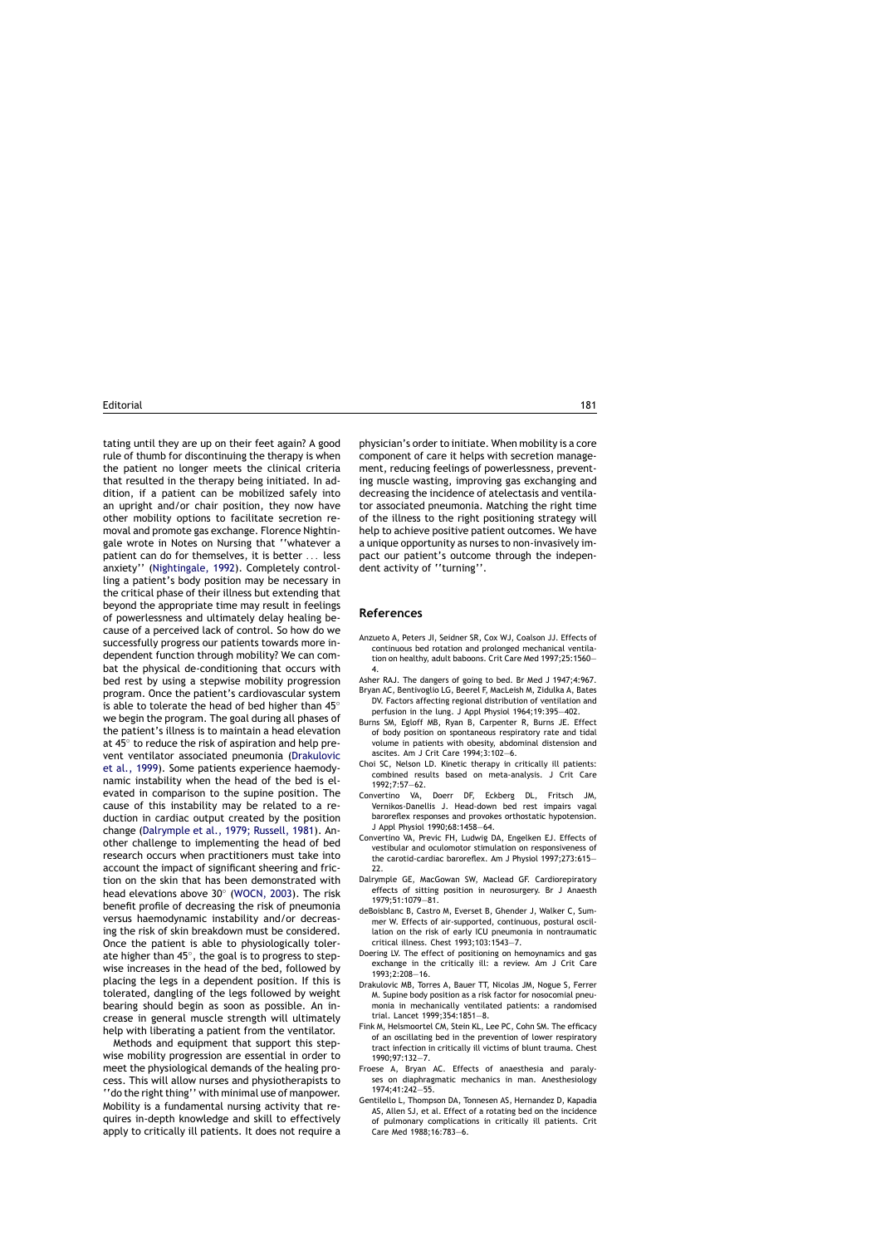<span id="page-2-0"></span>tating until they are up on their feet again? A good rule of thumb for discontinuing the therapy is when the patient no longer meets the clinical criteria that resulted in the therapy being initiated. In addition, if a patient can be mobilized safely into an upright and/or chair position, they now have other mobility options to facilitate secretion removal and promote gas exchange. Florence Nightingale wrote in Notes on Nursing that ''whatever a patient can do for themselves, it is better ... less anxiety'' ([Nightingale, 1992\).](#page-3-0) Completely controlling a patient's body position may be necessary in the critical phase of their illness but extending that beyond the appropriate time may result in feelings of powerlessness and ultimately delay healing because of a perceived lack of control. So howdo we successfully progress our patients towards more independent function through mobility? We can combat the physical de-conditioning that occurs with bed rest by using a stepwise mobility progression program. Once the patient's cardiovascular system is able to tolerate the head of bed higher than 45◦ we begin the program. The goal during all phases of the patient's illness is to maintain a head elevation at 45◦ to reduce the risk of aspiration and help prevent ventilator associated pneumonia (Drakulovic et al., 1999). Some patients experience haemodynamic instability when the head of the bed is elevated in comparison to the supine position. The cause of this instability may be related to a reduction in cardiac output created by the position change (Dalrymple et al., 1979; Russell, 1981). Another challenge to implementing the head of bed research occurs when practitioners must take into account the impact of significant sheering and friction on the skin that has been demonstrated with head elevations above 30◦ ([WOCN, 2003\).](#page-3-0) The risk benefit profile of decreasing the risk of pneumonia versus haemodynamic instability and/or decreasing the risk of skin breakdown must be considered. Once the patient is able to physiologically tolerate higher than 45◦, the goal is to progress to stepwise increases in the head of the bed, followed by placing the legs in a dependent position. If this is tolerated, dangling of the legs followed by weight bearing should begin as soon as possible. An increase in general muscle strength will ultimately help with liberating a patient from the ventilator.

Methods and equipment that support this stepwise mobility progression are essential in order to meet the physiological demands of the healing process. This will allow nurses and physiotherapists to ''do the right thing'' with minimal use of manpower. Mobility is a fundamental nursing activity that requires in-depth knowledge and skill to effectively apply to critically ill patients. It does not require a

physician's order to initiate. When mobility is a core component of care it helps with secretion management, reducing feelings of powerlessness, preventing muscle wasting, improving gas exchanging and decreasing the incidence of atelectasis and ventilator associated pneumonia. Matching the right time of the illness to the right positioning strategy will help to achieve positive patient outcomes. We have a unique opportunity as nurses to non-invasively impact our patient's outcome through the independent activity of ''turning''.

## **References**

- Anzueto A, Peters JI, Seidner SR, Cox WJ, Coalson JJ. Effects of continuous bed rotation and prolonged mechanical ventilation on healthy, adult baboons. Crit Care Med 1997;25:1560— 4.
- Asher RAJ. The dangers of going to bed. Br Med J 1947;4:967.
- Bryan AC, Bentivoglio LG, Beerel F, MacLeish M, Zidulka A, Bates DV. Factors affecting regional distribution of ventilation and perfusion in the lung. J Appl Physiol 1964;19:395—402.
- Burns SM, Egloff MB, Ryan B, Carpenter R, Burns JE. Effect of body position on spontaneous respiratory rate and tidal volume in patients with obesity, abdominal distension and ascites. Am J Crit Care 1994;3:102—6.
- Choi SC, Nelson LD. Kinetic therapy in critically ill patients: combined results based on meta-analysis. J Crit Care 1992;7:57—62.
- Convertino VA, Doerr DF, Eckberg DL, Fritsch JM, Vernikos-Danellis J. Head-down bed rest impairs vagal baroreflex responses and provokes orthostatic hypotension. J Appl Physiol 1990;68:1458—64.
- Convertino VA, Previc FH, Ludwig DA, Engelken EJ. Effects of vestibular and oculomotor stimulation on responsiveness of the carotid-cardiac baroreflex. Am J Physiol 1997;273:615— 22.
- Dalrymple GE, MacGowan SW, Maclead GF. Cardiorepiratory effects of sitting position in neurosurgery. Br J Anaesth 1979;51:1079—81.
- deBoisblanc B, Castro M, Everset B, Ghender J, Walker C, Summer W. Effects of air-supported, continuous, postural oscillation on the risk of early ICU pneumonia in nontraumatic critical illness. Chest 1993;103:1543—7.
- Doering LV. The effect of positioning on hemoynamics and gas exchange in the critically ill: a review. Am J Crit Care 1993;2:208—16.
- Drakulovic MB, Torres A, Bauer TT, Nicolas JM, Nogue S, Ferrer M. Supine body position as a risk factor for nosocomial pneumonia in mechanically ventilated patients: a randomised trial. Lancet 1999;354:1851—8.
- Fink M, Helsmoortel CM, Stein KL, Lee PC, Cohn SM. The efficacy of an oscillating bed in the prevention of lower respiratory tract infection in critically ill victims of blunt trauma. Chest 1990;97:132—7.
- Froese A, Bryan AC. Effects of anaesthesia and paralyses on diaphragmatic mechanics in man. Anesthesiology 1974;41:242—55.
- Gentilello L, Thompson DA, Tonnesen AS, Hernandez D, Kapadia AS, Allen SJ, et al. Effect of a rotating bed on the incidence of pulmonary complications in critically ill patients. Crit Care Med 1988;16:783—6.